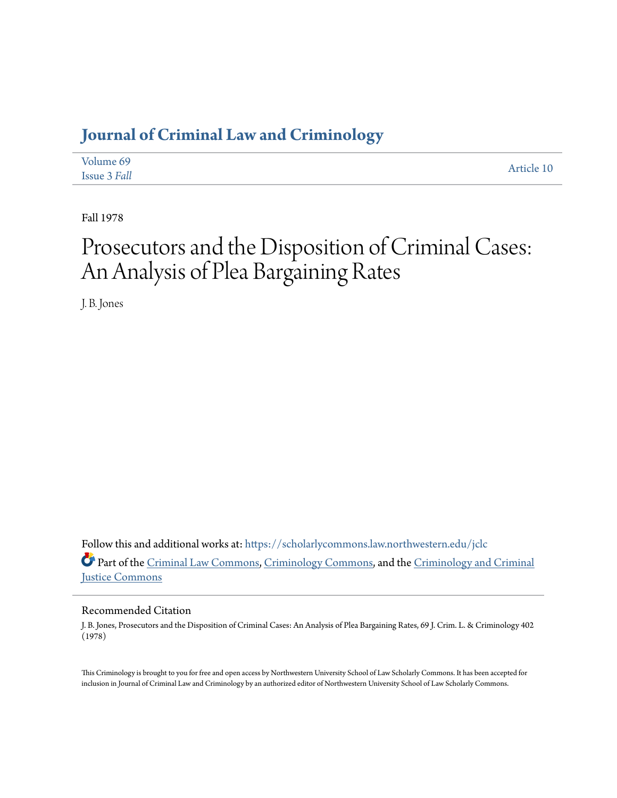## **[Journal of Criminal Law and Criminology](https://scholarlycommons.law.northwestern.edu/jclc?utm_source=scholarlycommons.law.northwestern.edu%2Fjclc%2Fvol69%2Fiss3%2F10&utm_medium=PDF&utm_campaign=PDFCoverPages)**

| Volume 69    | Article 10 |
|--------------|------------|
| Issue 3 Fall |            |

Fall 1978

# Prosecutors and the Disposition of Criminal Cases: An Analysis of Plea Bargaining Rates

J. B. Jones

Follow this and additional works at: [https://scholarlycommons.law.northwestern.edu/jclc](https://scholarlycommons.law.northwestern.edu/jclc?utm_source=scholarlycommons.law.northwestern.edu%2Fjclc%2Fvol69%2Fiss3%2F10&utm_medium=PDF&utm_campaign=PDFCoverPages) Part of the [Criminal Law Commons](http://network.bepress.com/hgg/discipline/912?utm_source=scholarlycommons.law.northwestern.edu%2Fjclc%2Fvol69%2Fiss3%2F10&utm_medium=PDF&utm_campaign=PDFCoverPages), [Criminology Commons](http://network.bepress.com/hgg/discipline/417?utm_source=scholarlycommons.law.northwestern.edu%2Fjclc%2Fvol69%2Fiss3%2F10&utm_medium=PDF&utm_campaign=PDFCoverPages), and the [Criminology and Criminal](http://network.bepress.com/hgg/discipline/367?utm_source=scholarlycommons.law.northwestern.edu%2Fjclc%2Fvol69%2Fiss3%2F10&utm_medium=PDF&utm_campaign=PDFCoverPages) [Justice Commons](http://network.bepress.com/hgg/discipline/367?utm_source=scholarlycommons.law.northwestern.edu%2Fjclc%2Fvol69%2Fiss3%2F10&utm_medium=PDF&utm_campaign=PDFCoverPages)

## Recommended Citation

J. B. Jones, Prosecutors and the Disposition of Criminal Cases: An Analysis of Plea Bargaining Rates, 69 J. Crim. L. & Criminology 402 (1978)

This Criminology is brought to you for free and open access by Northwestern University School of Law Scholarly Commons. It has been accepted for inclusion in Journal of Criminal Law and Criminology by an authorized editor of Northwestern University School of Law Scholarly Commons.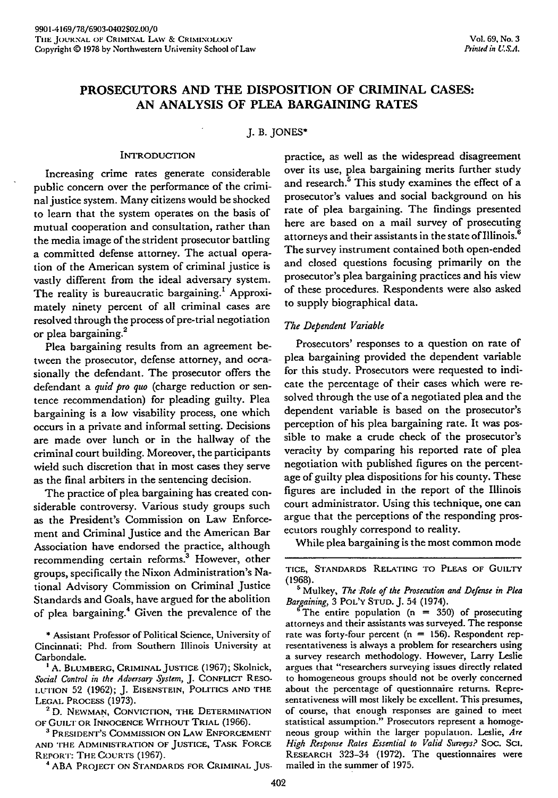## **PROSECUTORS AND THE DISPOSITION OF CRIMINAL CASES: AN ANALYSIS OF PLEA BARGAINING RATES**

**J.** B. **JONES-**

## **INTRODUCTION**

Increasing crime rates generate considerable public concern over the performance of the criminal justice system. Many citizens would be shocked to learn that the system operates on the basis of mutual cooperation and consultation, rather than the media image of the strident prosecutor battling a committed defense attorney. The actual operation of the American system of criminal justice is vastly different from the ideal adversary system. The reality is bureaucratic bargaining.<sup>1</sup> Approximately ninety percent of all criminal cases are resolved through the process of pre-trial negotiation 2 or plea bargaining.

Plea bargaining results from an agreement between the prosecutor, defense attorney, and ocrasionally the defendant. The prosecutor offers the defendant a *quid pro quo* (charge reduction or sentence recommendation) for pleading guilty. Plea bargaining is a low visability process, one which occurs in a private and informal setting. Decisions are made over lunch or in the hallway of the criminal court building. Moreover, the participants wield such discretion that in most cases they serve as the final arbiters in the sentencing decision.

The practice of plea bargaining has created considerable controversy. Various study groups such as the President's Commission on Law Enforcement and Criminal Justice and the American Bar Association have endorsed the practice, although recommending certain reforms.<sup>3</sup> However, other groups, specifically the Nixon Administration's National Advisory Commission on Criminal Justice Standards and Goals, have argued for the abolition of plea bargaining.' Given the prevalence of the

**\*** Assistant Professor of Political Science, University of Cincinnati: Phd. from Southern Illinois University at Carbondale.

**I** A. BLUMBERG, **CRIMINAL JUSTICE** (1967); Skolnick, *Social Control in the Adversary System, J.* CONFLICT REsO-**LUTION** 52 (1962); **J.** EISENSTEIN, POLITICS **AND THE LEGAL** PROCESS (1973).

practice, as well as the widespread disagreement over its use, plea bargaining merits further study and research.<sup>5</sup> This study examines the effect of a prosecutor's values and social background on his rate of plea bargaining. The findings presented here are based on a mail survey of prosecuting attorneys and their assistants in the state of Illinois.<sup>6</sup> The survey instrument contained both open-ended and closed questions focusing primarily on the prosecutor's plea bargaining practices and his view of these procedures. Respondents were also asked to supply biographical data.

## *The Dependent Variable*

Prosecutors' responses to a question on rate of plea bargaining provided the dependent variable for this study. Prosecutors were requested to indicate the percentage of their cases which were resolved through the use of a negotiated plea and the dependent variable is based on the prosecutor's perception of his plea bargaining rate. It was possible to make a crude check of the prosecutor's veracity by comparing his reported rate of plea negotiation with published figures on the percentage of guilty plea dispositions for his county. These figures are included in the report of the Illinois court administrator. Using this technique, one can argue that the perceptions of the responding prosecutors roughly correspond to reality.

While plea bargaining is the most common mode

attorneys and their assistants was surveyed. The response rate was forty-four percent ( $n = 156$ ). Respondent representativeness is always a problem for researchers using a survey research methodology. However, Larry Leslie argues that "researchers surveying issues directly related to homogeneous groups should not be overly concerned about the percentage of questionnaire returns. Representativeness will most likely be excellent. This presumes, of course, that enough responses are gained to meet statistical assumption." Prosecutors represent a homogeneous group within the larger population. Leslie, *Are High Response Rates Essential to Valid Surveys?* Soc. ScI. RESEARCH 323-34 (1972). The questionnaires were mailed in the summer of 1975.

<sup>2</sup> D. **NEWMAN,** CONVIcrION, **THE DETERMINATION OF GUILT** OR **INNOCENCE** WITHOUT TRIAL (1966).

**<sup>&#</sup>x27;** PRESIDENT'S **COMMISSION ON LAW ENFORCEMENT AND THE** ADMINISTRATION OF **JUSTICE,** TASK FORCE REPORT: THE COURTS (1967). **4** ABA **PROJEc T ON STANDARDS FOR CRIMINAL** JUS-

**TICE,** STANDARDS RELATING TO **PLEAS** OF GUILTY (1968).

**<sup>5</sup>** Mulkey, *The Role of the Prosecution and Defense in Plea Bargaining, 3 POL'Y STUD. J. 54 (1974).* <sup>6</sup>The entire population (n = 350) of prosecuting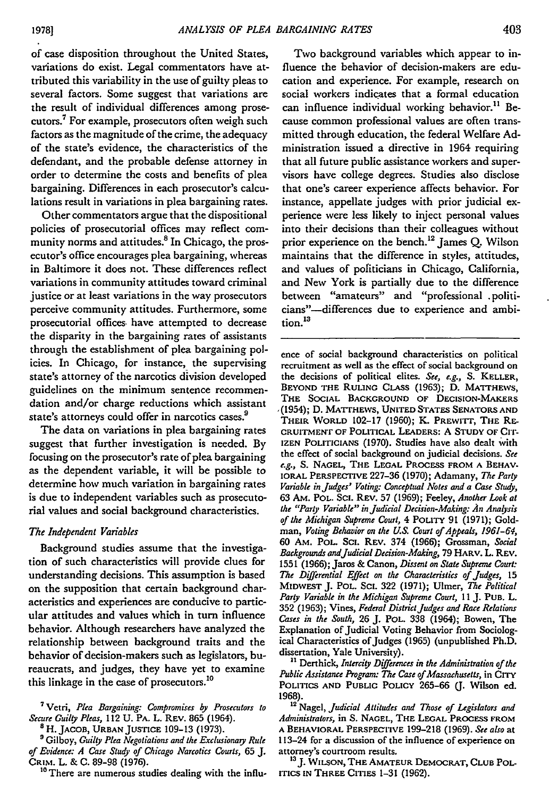403

of case disposition throughout the United States, variations do exist. Legal commentators have attributed this variability in the use of guilty pleas to several factors. Some suggest that variations are the result of individual differences among prosecutors.<sup>7</sup> For example, prosecutors often weigh such factors as the magnitude of the crime, the adequacy of the state's evidence, the characteristics of the defendant, and the probable defense attorney in order to determine the costs and benefits of plea bargaining. Differences in each prosecutor's calculations result in variations in plea bargaining rates.

Other commentators argue that the dispositional policies of prosecutorial offices may reflect community norms and attitudes.<sup>8</sup> In Chicago, the prosecutor's office encourages plea bargaining, whereas in Baltimore it does not. These differences reflect variations in community attitudes toward criminal justice or at least variations in the way prosecutors perceive community attitudes. Furthermore, some prosecutorial offices, have attempted to decrease the disparity in the bargaining rates of assistants through the establishment of plea bargaining policies. In Chicago, for instance, the supervising state's attorney of the narcotics division developed guidelines on the minimum sentence recommendation and/or charge reductions which assistant state's attorneys could offer in narcotics cases.<sup>9</sup>

The data on variations in plea bargaining rates suggest that further investigation is needed. **By** focusing on the prosecutor's rate of plea bargaining as the dependent variable, it will be possible to determine how much variation in bargaining rates is due to independent variables such as prosecuto**rial** values and social background characteristics.

#### *The Independent Variables*

Background studies assume that the investigation of such characteristics will provide clues for understanding decisions. This assumption is based on the supposition that certain background characteristics and experiences are conducive to particular attitudes and values which in turn influence behavior. Although researchers have analyzed the relationship between background traits and the behavior of decision-makers such as legislators, bureaucrats, and judges, they have yet to examine this linkage in the **case** of prosecutors.'0

**7** Vetri, *Plea Bargaining: Compromises by Prosecutors to Secure Guilty Pleas,* 112 U. PA. L. REV. 865 (1964).<br><sup>8</sup> H. JACOB, URBAN JUSTICE 109-13 (1973).<br><sup>9</sup> Gilboy, *Guilty Plea Negotiations and the Exclusionary Rule* 

*of Evidence: A Case Study of Chicago Narcotics Courts,* 65 J.

**CRiM.** L. & C. 89-98 (1976). **<sup>1</sup>**There **are** numerous studies dealing with **the** influ-

Two background variables which appear to influence the behavior of decision-makers are education and experience. For example, research on social workers indicates that a formal education can influence individual working behavior.<sup>11</sup> Because common professional values are often transmitted through education, the federal Welfare **Ad**ministration issued a directive in 1964 requiring that all future public assistance workers and supervisors have college degrees. Studies also disclose that one's career experience affects behavior. For instance, appellate judges with prior judicial experience were less likely to inject personal values into their decisions than their colleagues without prior experience on the bench.12 James **Q.** Wilson maintains that the difference in styles, attitudes, and values of politicians in Chicago, California, and New York is partially due to the difference between "amateurs" and "professional .politicians"-differences due to experience and ambition.<sup>13</sup>

ence of social background characteristics on political recruitment as well as the effect of social background on the decisions of political elites. *See, e.g.,* **S.** KELLER, BEYOND THE **RULING CLASS (1963); D. MATTHEWS, THE SOCIAL BACKGROUND OF DECISION-MAKERS** ,(1954); **D.** MATTHEWS, **UNITED STATES SENATORS AND** THEIR WORLD 102-17 (1960); K. **PREWrIrT, THE RE-CRUITMENT** OF POLITICAL **LEADERS: A STUDY OF Cri-IZEN** POLITICIANS (1970). Studies have also dealt with the effect of social background on judicial decisions. *See e.g.,* **S. NAGEL, THE LEGAL PROCESS** FROM **A** BEHAV-IORAL PERSPECTIVE **227-36 (1970);** Adamany, *The Party Variable in Judges' Voting: Conceptual Notes and a Case Study,* 63 AM. POL. SCI. REV. 57 (1969); Feeley, *Another Look at the "Party' Variable" in Judicial Decision-Making: An Analysis of the Michigan Supreme Court,* 4 POLITY 91 (1971); Goldman, *Voting Behavior on the U.S. Court of Appeals, 1961-64,* 60 AM. POL. **SCI.** REV. 374 (1966); Grossman, *Social Backgrounds andJudicial Decision-Making,* 79 HARv. L. REV. 1551 (1966); Jaros & Canon, *Dissent on State Suprene Court: The Differential Effect on the Characteristics of Judges,* 15 MIDWEST J. POL. Sc. 322 (1971); Ulmer, *The Political Party Variable in the Michigan Supreme Court,* 11 J. PUB. L. 352 (1963); Vines, *Federal District Judges and Race Relations Cases in the South,* 26 J. POL. 338 (1964); Bowen, The Explanation of Judicial Voting Behavior from Sociological Characteristics of Judges (1965) (unpublished Ph.D. dissertation, Yale University).

**11** Derthick, *Intercity Differences in the Administration of the Public Assistance Program: The Case of Massachusetts,* in CITY POLITICS **AND** PUBLIC POLICY 265-66 **(J.** Wilson ed. **1968).** 12 Nagel, *Judicial Attitudes and Those of Legislators and*

*Administrators,* in **S. NAGEL,** THE **LEGAL** PROCESS FROM **A** BEHAVIORAL PERSPECrIVE 199-218 (1969). *See also* at 113-24 for a discussion of the influence of experience on attorney's courtroom results. **<sup>13</sup>**

**j. WILSON, THE AMATEUR DEMOCRAT, CLUB POL-ITICS IN THREE** CITIES **1-31 (1962).**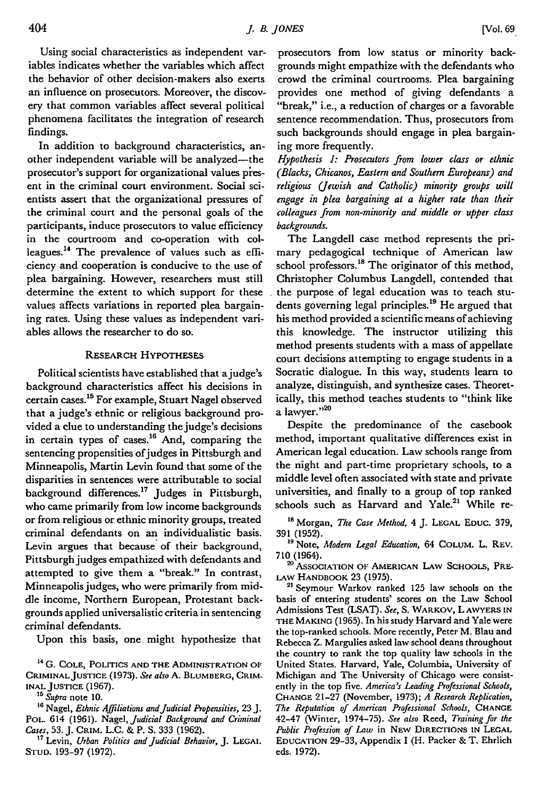Using social characteristics as independent variables indicates whether the variables which affect the behavior of other decision-makers also exerts an influence on prosecutors. Moreover, the discovery that common variables affect several political phenomena facilitates the integration of research findings.

In addition to background characteristics, another independent variable will be analyzed-the prosecutor's support for organizational values present in the criminal court environment. Social scientists assert that the organizational pressures of the criminal court and the personal goals of the participants, induce prosecutors to value efficiency in the courtroom and co-operation with colleagues.<sup>14</sup> The prevalence of values such as efficiency and cooperation is conducive to the use of plea bargaining. However, researchers must still determine the extent to which support for these values affects variations in reported plea bargaining rates. Using these values as independent variables allows the researcher to do so.

## RESEARCH HYPOTHESES

Political scientists have established that a judge's background characteristics affect his decisions in certain cases.<sup>15</sup> For example, Stuart Nagel observed that a judge's ethnic or religious background provided a clue to understanding the judge's decisions in certain types of cases.16 And, comparing the sentencing propensities of judges in Pittsburgh and Minneapolis, Martin Levin found that some of the disparities in sentences were attributable to social background differences.17 Judges in Pittsburgh, who came primarily from low income backgrounds or from religious or ethnic minority groups, treated criminal defendants on an individualistic basis. Levin argues that because of their background, Pittsburgh judges empathized with defendants and attempted to give them a "break." In contrast, Minneapolis judges, who were primarily from middle income, Northern European, Protestant backgrounds applied universalistic criteria in sentencing criminal defendants.

Upon this basis, one might hypothesize that

**<sup>14</sup>**G. COLE, **POLITICS** AND THE **ADMINISTRATION** OF CRIMINALJUSTICE (1973). *See also* **A.** BLUMBERG, CRIM-INAL JUSTICE (1967). *'5 Supra* note **10.**

**I** Nagel, *Ethnic Affiliations andJudicial Propensities,* **23** J. **POL.** 614 **(1961).** *Nagel, Judicial Background and Criminal Cases,* **53.** J. CRIM. L.C. & P. **S.** 333 (1962). **<sup>17</sup>**Levin, *Urban Politics and Judicial Behavior,* J. LEGAL.

**STUD.** 193-97 (1972).

prosecutors from low status or minority backgrounds might empathize with the defendants who crowd the criminal courtrooms. Plea bargaining provides one method of giving defendants a "break," i.e., a reduction of charges or a favorable sentence recommendation. Thus, prosecutors from such backgrounds should engage in plea bargaining more frequently.

*Hypothesis 1: Prosecutors from lower class or ethnic (Blacks, Chicanos, Eastern and Southern Europeans) and religious Uewish and Catholic) minority groups will engage in plea bargaining at a higher rate than their colleagues from non-minority and middle or upper class backgrounds.*

The Langdell case method represents the primary pedagogical technique of American law school professors.<sup>18</sup> The originator of this method, Christopher Columbus Langdell, contended that the purpose of legal education was to teach students governing legal principles.<sup>19</sup> He argued that his method provided a scientific means of achieving this knowledge. The instructor utilizing this method presents students with a mass of appellate court decisions attempting to engage students in a Socratic dialogue. In this way, students learn to analyze, distinguish, and synthesize cases. Theoretically, this method teaches students to "think like a lawyer."20

Despite the predominance of the casebook method, important qualitative differences exist in American legal education. Law schools range from the night and part-time proprietary schools, to a middle level often associated with state and private universities, and finally to a group of top ranked schools such as Harvard and Yale.<sup>21</sup> While re-

**<sup>18</sup>**Morgan, *The Case Method, 4* J. LEGAL EDUC. 379, 391 (1952).

1 <sup>9</sup> Note, *Modern Legal Education,* 64 COLUM. L. REV. 710 (1964).

**'2** ASSOCIATION OF AMERICAN LAW SCHOOLS, PRE-LAW HANDBOOK 23 (1975).<br><sup>21</sup> Seymour Warkov ranked 125 law schools on the

basis of entering students' scores on the Law School Admissions Test **(LSAT.** *See,* S. WARKOV, LAWYERS IN THE MAKING (1965). In his study Harvard and Yale were the top-ranked schools. More recently, Peter M. Blau and Rebecca Z. Margulies asked law school deans throughout the country to rank the top quality law schools in the United States. Harvard, Yale, Columbia, University of Michigan and The University of Chicago were consistently in the top five. *America's Leading Professional Schools,* **CHANGE** 21-27 (November, 1973); *A Research Replication, The Reputation of American Professional Schools,* **CHANGE** 42-47 (Winter, 1974-75). *See also* Reed, *Training for the Public Profession of Law* in NEW **DIRECrIONS IN LEGAL EDUCATION** 29-33, Appendix I (H. Packer & T. Ehrlich eds. 1972).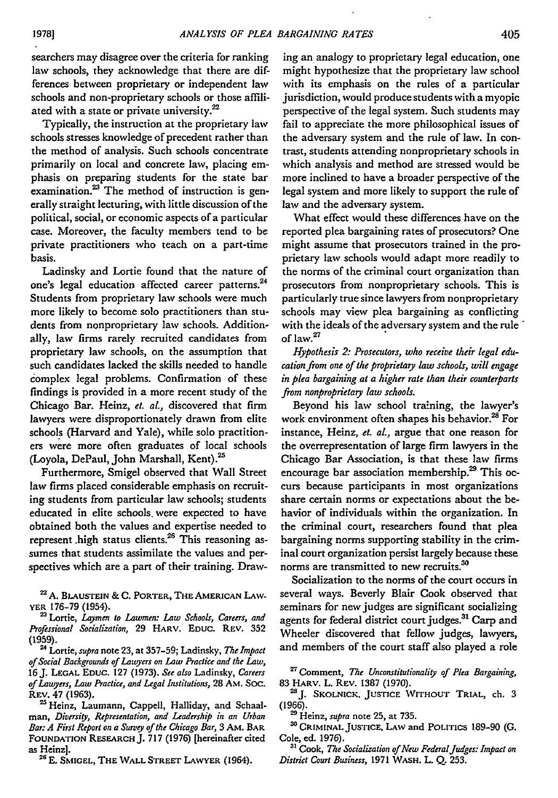searchers may disagree over the criteria for ranking law schools, they acknowledge that there are differences between proprietary or independent law schools and non-proprietary schools or those affiliated with a state or private university.<sup>22</sup>

Typically, the instruction at the proprietary law schools stresses knowledge of precedent rather than the method of analysis. Such schools concentrate primarily on local and concrete law, placing emphasis on preparing students for the state bar examination.<sup>23</sup> The method of instruction is generally straight lecturing, with little discussion of the political, social, or economic aspects of a particular case. Moreover, the faculty members tend to be private practitioners who teach on a part-time basis.

Ladinsky and Lortie found that the nature of one's legal education affected career patterns.<sup>24</sup> Students from proprietary law schools were much more likely to become solo practitioners than students from nonproprietary law schools. Additionally, law firms rarely recruited candidates from proprietary law schools, on the assumption that such candidates lacked the skills needed to handle complex legal problems. Confirmation of these findings is provided in a more recent study of the Chicago Bar. Heinz, *et. al.,* discovered that firm lawyers were disproportionately drawn from elite schools (Harvard and Yale), while solo practitioners were more often graduates of local schools (Loyola, DePaul, John Marshall, Kent).<sup>25</sup>

Furthermore, Smigel observed that Wall Street law firms placed considerable emphasis on recruiting students from particular law schools; students educated in elite schools, were expected to have obtained both the values and expertise needed to represent .high status clients.<sup>26</sup> This reasoning assumes that students assimilate the values and perspectives which are a part of their training. Draw-

<sup>22</sup>**A.** BLAusrEIN & **C.** PORTER, THE **AMERICAN** LAW. **YER** 176-79 (1954). **<sup>2</sup>**Lortie, *Laymen to Lawmen: Law Schools, Careers, and*

*Professional Socialization,* 29 HARv. EDuC. REV. 352 **(1959).**

24 Lortie, *supra* note 23, at 357-59; Ladinsky, *The Impact of Social Backgrounds of Lawyers on Law Practice and the Law,* 16 J. **LEGAL EDUC.** 127 (1973). *See also* Ladinsky, *Careers of Lawyers, Law Practice, and Legal Institutions,* 28 AM. SoC. REV. 47 (1963).

<sup>25</sup> Heinz, Laumann, Cappell, Halliday, and Schaalman, *Diversity, Representation, and Leadership in an Urban Bar: A First Report on a Survey of the Chicago Bar,* 3 AM. BAR FOUNDATION RESEARCH J. 717 (1976) [hereinafter cited as Heinz]. **<sup>2</sup> <sup>6</sup> E. SMIGEL,** THE WALL STREET LAWYER (1964).

ing an analogy to proprietary legal education, one might hypothesize that the proprietary law school with its emphasis on the rules of a particular jurisdiction, would produce students with a myopic perspective of the legal system. Such students may fail to appreciate the more philosophical issues of the adversary system and the rule of law. In contrast, students attending nonproprietary schools in which analysis and method are stressed would be more inclined to have a broader perspective of the legal system and more likely to support the rule of law and the adversary system.

What effect would these differences have on the reported plea bargaining rates of prosecutors? One might assume that prosecutors trained in the proprietary law schools would adapt more readily to the norms of the criminal court organization than prosecutors from nonproprietary schools. This is particularly true since lawyers from nonproprietary schools may view plea bargaining as conflicting with the ideals of the adversary system and the rule **of** law. <sup>27</sup>

*Hypothesis 2: Prosecutors, who receive their legal education from one of the proprietary law schools, will engage in plea bargaining at a higher rate than their counterparts from nonproprietary law schools.*

Beyond his law school training, the lawyer's work environment often shapes his behavior.<sup>28</sup> For instance, Heinz, *et. al.,* argue that one reason for the overrepresentation of large firm lawyers in the Chicago Bar Association, is that these law firms encourage bar association membership.<sup>29</sup> This occurs because participants in most organizations share certain norms or expectations about the behavior of individuals within the organization. In the criminal court, researchers found that plea bargaining norms supporting stability in the criminal court organization persist largely because these norms are transmitted to new recruits.<sup>30</sup>

Socialization to the norms of the court occurs in several ways. Beverly Blair Cook observed that seminars for new judges are significant socializing agents for federal district court judges.<sup>31</sup> Carp and Wheeler discovered that fellow judges, lawyers, and members of the court staff also played a role

2' Comment, *The Unconstitutionality of Plea Bargaining,* 83 HARV. L. REV. 1387 (1970).

**28J. SKOLNICK. JUSTICE WITHOUT** TRIAL, **ch.** 3 **(1966).**

**<sup>2</sup>**Heinz, *supra* note **25,** at 735.

**<sup>30</sup>**CRIMINAL **JUSTICE,** LAW and POLrrICS 189-90 **(G.** Cole, ed. 1976). **3i** Cook, *The Socialization of New FederalJudges: Impact on*

*District Court Business,* 1971 WASH. L. Q. 253.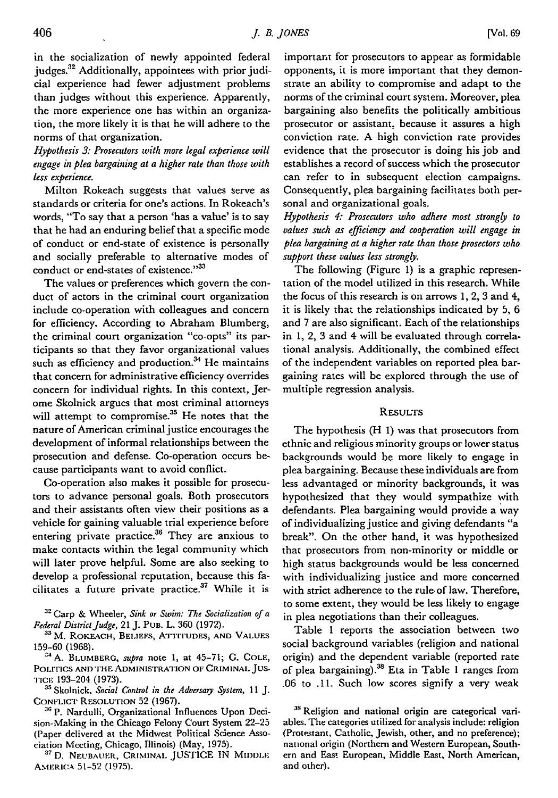in the socialization of newly appointed federal judges.32 Additionally, appointees with prior judicial experience had fewer adjustment problems than judges without this experience. Apparently, the more experience one has within an organization, the more likely it is that he will adhere to the norms of that organization.

## *Hypothesis 3: Prosecutors with more legal experience will engage in plea bargaining at a higher rate than those with less experience.*

Milton Rokeach suggests that values serve as standards or criteria for one's actions. In Rokeach's words, "To say that a person 'has a value' is to say that he had an enduring belief that a specific mode of conduct or end-state of existence is personally and socially preferable to alternative modes of and socially preferable to alternate

The values or preferences which govern the conduct of actors in the criminal court organization include co-operation with colleagues and concern for efficiency. According to Abraham Blumberg, the criminal court organization "co-opts" its participants so that they favor organizational values such as efficiency and production.<sup>34</sup> He maintains that concern for administrative efficiency overrides concern for individual rights. In this context, Jerome Skolnick argues that most criminal attorneys will attempt to compromise.<sup>35</sup> He notes that the nature of American criminal justice encourages the development of informal relationships between the prosecution and defense. Co-operation occurs because participants want to avoid conflict.

Co-operation also makes it possible for prosecutors to advance personal goals. Both prosecutors and their assistants often view their positions as a vehicle for gaining valuable trial experience before entering private practice.<sup>36</sup> They are anxious to make contacts within the legal community which will later prove helpful. Some are also seeking to develop a professional reputation, because this facilitates a future private practice.<sup>37</sup> While it is

**'3** Carp & Wheeler, *Sink or Swim: The Socialization of a Federal DistrictJudge,* 21 J. PUB. L. 360 (1972).

**<sup>3</sup>**M. ROKEACH, **BELIEFS, ATrrTUDES, AND VALUES** 159-60 (1968).

'\* **A.** BLUMBERG, *supra* note 1, at 45-71; G. **COLE,** POLITICS AND THE ADMINISTRATION OF CRIMINAL JUS-**TrCF** 193-204 (1973).

5 Skolnick, *Social* Control *in the Adversary System, 11* J. **CONFLICT RESOLUTION 52 (1967).** 

<sup>36</sup> P. Nardulli, Organizational Influences Upon Decision-Making in the Chicago Felony Court System 22-25 (Paper delivered at the Midwest Political Science Association Meeting, Chicago, Illinois) (May, 1975).

**<sup>17</sup>D.** NEtBAUER, **CRIMINAL** JUSTICE IN MIDDLE AMERICA 51-52 (1975).

important for prosecutors to appear as formidable opponents, it is more important that they demonstrate an ability to compromise and adapt to the norms of the criminal court system. Moreover, plea bargaining also benefits the politically ambitious prosecutor or assistant, because it assures a high conviction rate. A high conviction rate provides evidence that the prosecutor is doing his job and establishes a record of success which the prosecutor can refer to in subsequent election campaigns. Consequently, plea bargaining facilitates both personal and organizational goals.

*Hypothesis 4: Prosecutors who adhere most strongly to values such as efficiency and cooperation will engage in plea bargaining at a higher rate than those prosectors who support these values less strongly.*

The following (Figure 1) is a graphic representation of the model utilized in this research. While the focus of this research is on arrows 1, 2, 3 and 4, it is likely that the relationships indicated by 5, 6 and 7 are also significant. Each of the relationships in 1, 2, 3 and 4 will be evaluated through correlational analysis. Additionally, the combined effect of the independent variables on reported plea bargaining rates will be explored through the use of multiple regression analysis.

#### RESuLTs

The hypothesis (H **1)** was that prosecutors from ethnic and religious minority groups or lower status backgrounds would be more likely to engage in plea bargaining. Because these individuals are from less advantaged or minority backgrounds, it was hypothesized that they would sympathize with defendants. Plea bargaining would provide a way of individualizing justice and giving defendants "a break". On the other hand, it was hypothesized that prosecutors from non-minority or middle or high status backgrounds would be less concerned with individualizing justice and more concerned with strict adherence to the rule.of law. Therefore, to some extent, they would be less likely to engage in plea negotiations than their colleagues.

Table 1 reports the association between two social background variables (religion and national origin) and the dependent variable (reported rate of plea bargaining).<sup>38</sup> Eta in Table 1 ranges from .06 to .11. Such low scores signify a very weak

<sup>38</sup> Religion and national origin are categorical variables. The categories utilized for analysis include: religion (Protestant, Catholic, Jewish, other, and no preference); national origin (Northern and Western European, Southern and East European, Middle East, North American, and other).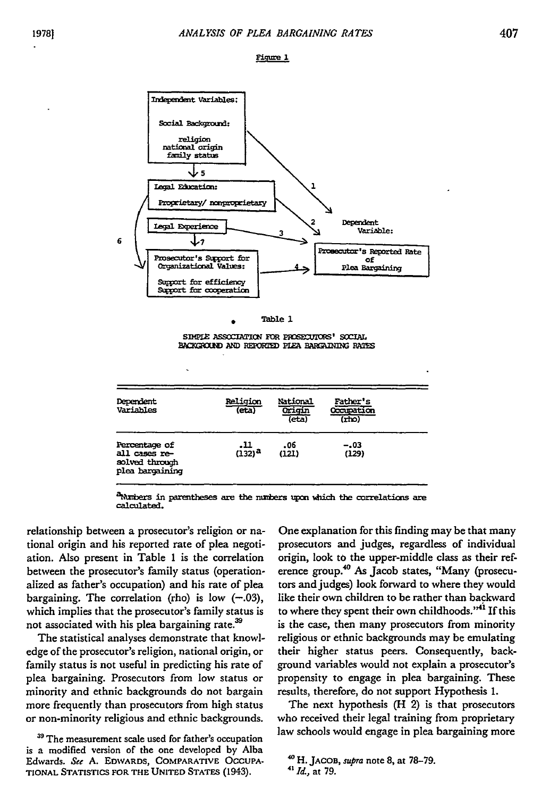



**0** Table **I**

SIMPIE ASSOCIATION FOR PROSECUTORS' SOCIAL **BACKGROUND AND REPORTED PLEA BARGAINING RATES** 

| Dependent<br>Variables                                              | Religion<br>(eta)  | National<br>Origin<br>(eta) | Father's<br>Occupation<br>(t) |
|---------------------------------------------------------------------|--------------------|-----------------------------|-------------------------------|
| Percentage of<br>all cases re-<br>solved through<br>plea bargaining | .11<br>$(132)^{a}$ | - 06<br>(121)               | -.03<br>(129)                 |

**aNafbers in parentheses are the naibers** *upn* **which** *the* **correlations are calculated.**

relationship between a prosecutor's religion or national origin and his reported rate of plea negotiation. Also present in Table 1 is the correlation between the prosecutor's family status (operationalized as father's occupation) and his rate of plea bargaining. The correlation (rho) is low  $(-.03)$ , which implies that the prosecutor's family status is not associated with his plea bargaining rate.<sup>39</sup>

The statistical analyses demonstrate that knowledge of the prosecutor's religion, national origin, or family status is not useful in predicting his rate of plea bargaining. Prosecutors from low status or minority and ethnic backgrounds do not bargain more frequently than prosecutors from high status or non-minority religious and ethnic backgrounds.

One explanation for this finding may be that many prosecutors and judges, regardless of individual origin, look to the upper-middle class as their reference group.<sup>40</sup> As Jacob states, "Many (prosecutors and judges) look forward to where they would like their own children to be rather than backward to where they spent their own childhoods."<sup>41</sup> If this is the case, then many prosecutors from minority religious or ethnic backgrounds may be emulating their higher status peers. Consequently, background variables would not explain a prosecutor's propensity to engage in plea bargaining. These results, therefore, do not support Hypothesis **1.**

The next hypothesis (H 2) is that prosecutors who received their legal training from proprietary law schools would engage in plea bargaining more

**a7** The measurement scale used for father's occupation is a modified version of the one developed by Alba Edwards. *See* **A.** EDWARDS, **COMPARATIVE OCCUPA-TIONAL** STATISTICS FOR **THE UNITED STATES** (1943).

<sup>4</sup>o H. **JACOB,** *supra* note 8, at **78-79. <sup>41</sup>***Id,* **at 79.**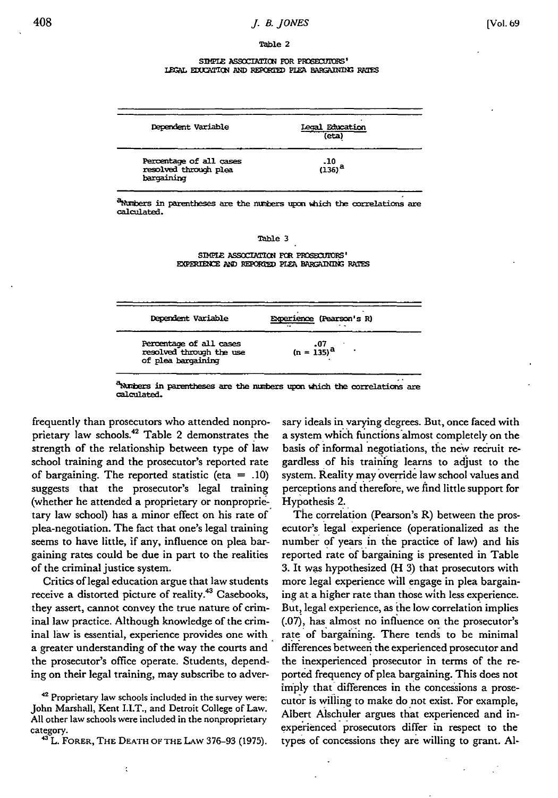#### **Table** 2

#### SIMPLE ASSOCIATION FOR PROSECUTORS' **LEGAL EDUCATION AND REPORTED PLEA BARGAINING RATES**

| Dependent Variable                                             | <b>Legal Education</b><br>(eta) |
|----------------------------------------------------------------|---------------------------------|
| Percentage of all cases<br>resolved through plea<br>bargaining | $\frac{.10}{(136)^8}$           |

<sup>a</sup>Numbers in parentheses are the numbers upon which the correlations are **calculated.**

#### **Table 3**

**SIMPLE ASSOCIATION FOR PROSECUTORS' EXPERIENCE AND REPORTED PLEA BARGAINING RATES** 

| Dependent Variable                             | Experience (Pearson's R)<br>$\sim$ |
|------------------------------------------------|------------------------------------|
| Percentage of all cases                        |                                    |
| resolved through the use<br>of plea bargaining | $(n = 135)^a$                      |

**a!umbers in** parentheses **are** the **numbers upon which the correlations are calculated.**

frequently than prosecutors who attended nonproprietary law schools.<sup>42</sup> Table 2 demonstrates the strength of the relationship between type of law school training and the prosecutor's reported rate of bargaining. The reported statistic (eta **=** .10) suggests that the prosecutor's legal training (whether he attended a proprietary or nonproprietary law school) has a minor effect on his rate of plea-negotiation. The fact that one's legal training seems to have little, if any, influence on plea bargaining rates could be due in part to the realities of the criminal justice system.

Critics of legal education argue that law students receive a distorted picture of reality.<sup>43</sup> Casebooks, they assert, cannot convey the true nature of criminal law practice. Although knowledge of the criminal law is essential, experience provides one with a greater understanding of the way the courts and the prosecutor's office operate. Students, depending on their legal training, may subscribe to adver-

**42** Proprietary law schools included in the survey were: John Marshall, Kent I.I.T., and Detroit College of Law. All other law schools were included in the nonproprietary category.

 $\ddot{\cdot}$ 

43 L. FORER, **THE DEATH** OF **THE** LAW 376-93 **(1975).**

sary ideals in varying degrees. But, once faced with a system which functions'almost completely on the basis of informal negotiations, the new recruit regardless of his training learns to adjust to the system. Reality may override law school values and perceptions and therefore, we find little support for Hypothesis 2.

The correlation (Pearson's R) between the prosecutor's legal experience (operationalized as the number of years in the practice of law) and his reported rate of bargaining is presented in Table 3. It was hypothesized (H 3) that prosecutors with more legal experience will engage in plea bargaining at a higher rate than those with less experience. But, legal experience, as the low correlation implies (.07), has almost no influence on the prosecutor's rate of bargaining. There tends to **be** minimal differences between the experienced prosecutor and the inexperienced prosecutor in terms of the reported frequency of plea bargaining. This does not imply that differences in the concessions a prosecutor is willing to make do not exist. For example, Albert Alschuler argues that experienced and inexperienced prosecutors differ in respect to the types of concessions they are willing to grant. **Al-**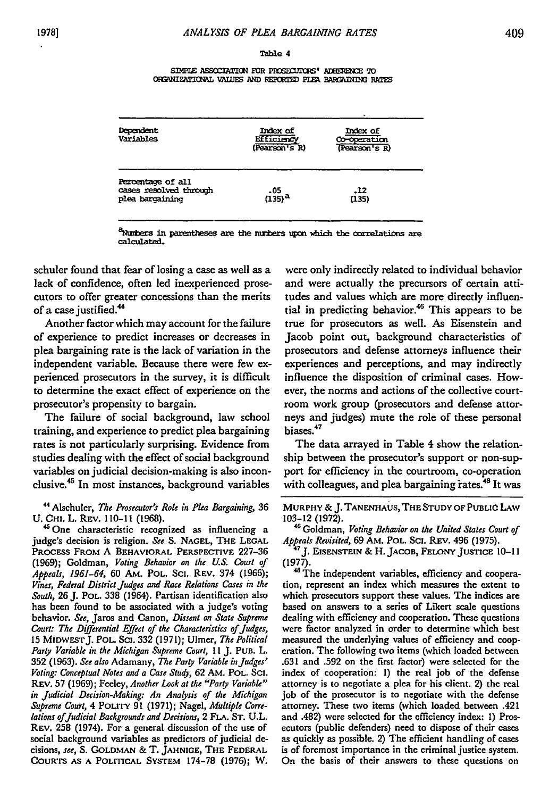#### **Table 4**

SIMPLE ASSOCIATION FOR PROSECUTORS' ADHERENCE TO **ORGANIZATIONAL VALUES AND REPORTED PLEA BARGAINING RATES** 

| Dependent<br>Variables                                         | Index of<br>Efficiency<br>(Pearson's R) | Index of<br>Co-operation<br>(Pearson's R) |  |
|----------------------------------------------------------------|-----------------------------------------|-------------------------------------------|--|
| Percentage of all<br>cases resolved through<br>plea bargaining | 05.<br>$(135)^{a}$                      | -12<br>(135)                              |  |

**aNumbers in parentheses are the nurs upon whid the correlations are** calculated.

schuler found that fear of losing a case as well as a lack of confidence, often led inexperienced prosecutors to offer greater concessions than the merits of a case justified.<sup>44</sup>

Another factor which may account for the failure of experience to predict increases or decreases in plea bargaining rate is the lack of variation in the independent variable. Because there were few experienced prosecutors in the survey, it is difficult to determine the exact effect of experience on the prosecutor's propensity to bargain.

The failure of social background, law school training, and experience to predict plea bargaining rates is not particularly surprising. Evidence from studies dealing with the effect of social background variables on judicial decision-making is also inconclusive.<sup>45</sup> In most instances, background variables

"Alschuler, *The Prosecutor's Role in Plea Bargaining,* **36** U. **CHI.** L. REV. 110-11 (1968).

<sup>45</sup> One characteristic recognized as influencing a judge's decision is religion. *See* S. **NAGEL, THE LEGAL** PROCESS FROM **A** BEHAVIORAL PERSPEcrIVE 227-36 **(1969);** Goldman, *Voting Behavior on the U.S. Court of Appeals, 1961-64,* 60 AM. POL. Sci. REv. 374 (1966); *Vines, Federal District Judges and Race Relations Cases in the South,* 26 J. POL. 338 (1964). Partisan identification also has been found to be associated with a judge's voting behavior. *See,* Jaros and Canon, *Dissent on State Supreme Court: The Differential Effect of the Characteristics of Judges,* 15 **MIDWESTJ.** POL. Sci. 332 (1971); Ulmer, *The Political Party Variable in the Michigan Supreme Court,* 11 J. **PUB.** L. 352 (1963). *See also* Adamany, *The Party Variable in Judges' Voting: Conceptual Notes and a Case Study,* 62 AM. POL. **SCL** REv. 57 (1969); Feeley, *Another Look at the "Party Variable" in Judicial Decision-Making: An Analysis of the Michigan Supreme Court,* 4 POLITY **91 (1971);** Nagel, *Multiple Correlations ofJudicial Backgrounds and Decisions,* 2 FLA. **ST. U.L.** REV. **258** (1974). For a general discussion of the use of social background variables as predictors of judicial **decisions,** *see,* **S. GOLDMAN** & T. **JAHNIGE, THE** FEDERAL **COURrS AS A POLITICAL SYSTEM 174-78** (1976); W.

were only indirectly related to individual behavior and were actually the precursors of certain attitudes and values which are more directly influential in predicting behavior.<sup>46</sup> This appears to be true for prosecutors as well. As Eisenstein and Jacob point out, background characteristics of prosecutors and defense attorneys influence their experiences and perceptions, and may indirectly influence the disposition of criminal cases. However, the norms and actions of the collective courtroom work group (prosecutors and defense attorneys and judges) mute the role of these personal biases.<sup>47</sup>

The data arrayed in Table 4 show the relationship between the prosecutor's support or non-support for efficiency in the courtroom, co-operation with colleagues, and plea bargaining rates.<sup>48</sup> It was

**MURPHY &** J. **TANENHAUS, THE STUDY OF PUBLIC LAw 103-12 (1972).**

**<sup>46</sup>**Goldman, *Voting Behavior on the United States Court of*

*Appeals Revisited,* 69 AM. POL. Sci. REv. 496 (1975). 47J. **EISENSTEIN &** H. **JACOB, FELONY JUSTICE 10- 11 (1977).**

<sup>48</sup> The independent variables, efficiency and cooperation, represent an index which measures the extent to which prosecutors support these values. The indices are based on answers to a series of Likert scale questions dealing with efficiency and cooperation. These questions were factor analyzed in order **to** determine which best measured the underlying values of efficiency and cooperation. The following two items (which loaded between **.631** and **.592** on the first factor) were selected for the index of cooperation: **1)** the real **job** of the defense attorney is to negotiate a plea for his client. 2) the real **job** of the prosecutor is to negotiate with the defense attorney. These two items (which loaded between .421 and .482) were selected for the efficiency index: 1) Prosecutors (public defenders) need to dispose of their cases as quickly as possible. 2) The efficient handling of cases is of foremost importance in the criminal justice system. On the basis of their answers to these questions on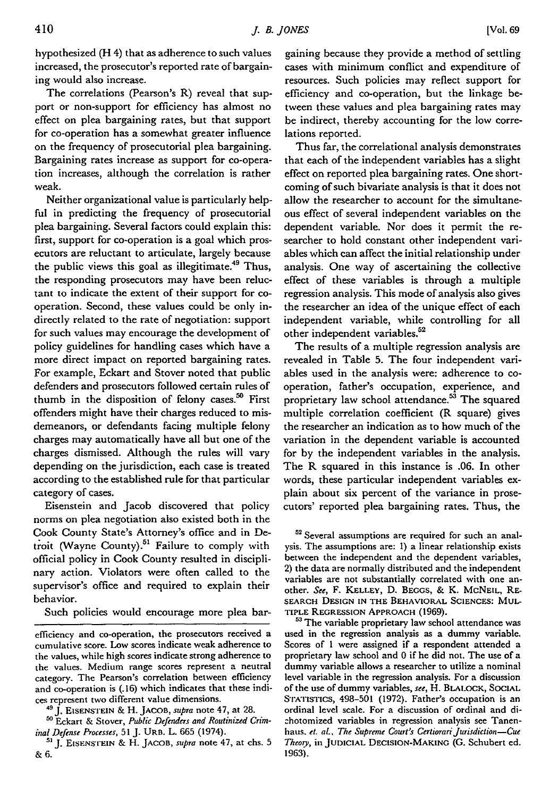hypothesized (H 4) that as adherence to such values increased, the prosecutor's reported rate of bargaining would also increase.

The correlations (Pearson's R) reveal that support or non-support for efficiency has almost no effect on plea bargaining rates, but that support for co-operation has a somewhat greater influence on the frequency of prosecutorial plea bargaining. Bargaining rates increase as support for co-operation increases, although the correlation is rather weak.

Neither organizational value is particularly helpful in predicting the frequency of prosecutorial plea bargaining. Several factors could explain this: first, support for co-operation is a goal which prosecutors are reluctant to articulate, largely because the public views this goal as illegitimate.<sup>49</sup> Thus, the responding prosecutors may have been reluctant to indicate the extent of their support for cooperation. Second, these values could be only indirectly related to the rate of negotiation: support for such values may encourage the development of policy guidelines for handling cases which have a more direct impact on reported bargaining rates. For example, Eckart and Stover noted that public defenders and prosecutors followed certain rules of thumb in the disposition of felony cases.<sup>50</sup> First offenders might have their charges reduced to misdemeanors, or defendants facing multiple felony charges may automatically have all but one of the charges dismissed. Although the rules will vary depending on the jurisdiction, each case is treated according to the established rule for that particular category of cases.

Eisenstein and Jacob discovered that policy norms on plea negotiation also existed both in the Cook County State's Attorney's office and in **De**troit (Wayne County).<sup>51</sup> Failure to comply with official policy in Cook County resulted in disciplinary action. Violators were often called to the supervisor's office and required to explain their behavior.

Such policies would encourage more plea bar-

ces represent two different value dimensions. **49J. EISENSTEIN** & H. **JACOB,** *supra* note 47, at 28.

**5o** Eckart & Stover, *Public Defenders and Routinized Criminal Defense Processes,* 51 J. URB. L. 665 (1974).

**'I** J. **EISENSTEIN** & H. **JACOB,** *supra* note 47, at chs. 5 **&** 6.

gaining because they provide a method of settling cases with minimum conflict and expenditure of resources. Such policies may reflect support for efficiency and co-operation, but the linkage between these values and plea bargaining rates may be indirect, thereby accounting for the low correlations reported.

Thus far, the correlational analysis demonstrates that each of the independent variables has a slight effect on reported plea bargaining rates. One shortcoming of such bivariate analysis is that it does not allow the researcher to account for the simultaneous effect of several independent variables on the dependent variable. Nor does it permit the researcher to hold constant other independent variables which can affect the initial relationship under analysis. One way of ascertaining the collective effect of these variables is through a multiple regression analysis. This mode of analysis also gives the researcher an idea of the unique effect of each independent variable, while controlling for all other independent variables.<sup>52</sup>

The results of a multiple regression analysis are revealed in Table 5. The four independent variables used in the analysis were: adherence to cooperation, father's occupation, experience, and proprietary law school attendance.<sup>53</sup> The squared multiple correlation coefficient (R square) gives the researcher an indication as to how much of the variation in the dependent variable is accounted for by the independent variables in the analysis. The R squared in this instance is .06. In other words, these particular independent variables explain about six percent of the variance in prosecutors' reported plea bargaining rates. Thus, the

**52** Several assumptions are required for such an analysis. The assumptions are: **1)** a linear relationship exists between the independent and the dependent variables, 2) the data are normally distributed and the independent variables are not substantially correlated with one another. *See,* F. **KELLEY,** D. BEGGS, & K. **MCNEIL,** RE-SEARCH **DESIGN IN THE** BEHAVIORAL **SCIENCES:** MUL-TIPLE **REGRESSION** APPROACH (1969).

<sup>53</sup> The variable proprietary law school attendance was used in the regression analysis as a dummy variable. Scores of **1** were assigned if a respondent attended a proprietary law school and 0 if he did not. The use of a dummy variable allows a researcher to utilize a nominal level variable in the regression analysis. For a discussion of the use of dummy variables, *see,* H. BLALOCK, **SOCIAL** STATISTICS, 498-501 (1972). Father's occupation is an ordinal level scale. For a discussion of ordinal and dichotomized variables in regression analysis see Tanenhais. *et. aL., The Supreme Court's Certiorari Jurisdiction-Cue Theor,* in **JUDICIAL DECISION-MAKING (G.** Schubert ed. **1963).**

efficiency and co-operation, the prosecutors received a cumulative score. Low scores indicate weak adherence to the values, while high scores indicate strong adherence to the values. Medium range scores represent a neutral category. The Pearson's correlation between efficiency and co-operation is (.16) which indicates that these indices represent two different value dimensions.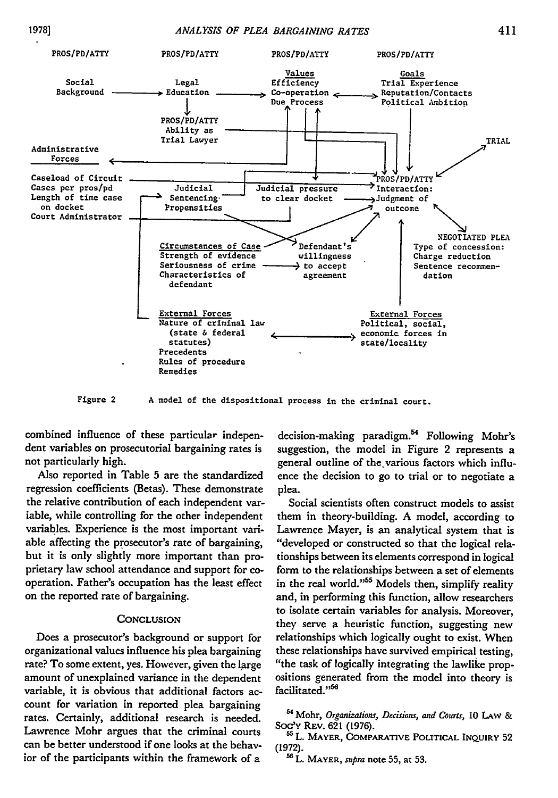

Figure 2 A model of the dispositional process in the criminal court.

combined influence of these particular independent variables on prosecutorial bargaining rates is not particularly high.

Also reported in Table 5 are the standardized regression coefficients (Betas). These demonstrate the relative contribution of each independent variable, while controlling for the other independent variables. Experience is the most important variable affecting the prosecutor's rate of bargaining, but it is only slightly more important than proprietary law school attendance and support for cooperation. Father's occupation has the least effect on the reported rate of bargaining.

### **CONCLUSION**

Does a prosecutor's background or support for organizational values influence his plea bargaining rate? To some extent, yes. However, given the large amount of unexplained variance in the dependent variable, it is obvious that additional factors account for variation in reported plea bargaining rates. Certainly, additional research is needed. Lawrence Mohr argues that the criminal courts can be better understood if one looks at the behavior of the participants within the framework of a

decision-making paradigm.<sup>54</sup> Following Mohr's suggestion, the model in Figure 2 represents a general outline of the various factors which influence the decision to go to trial or to negotiate a plea.

Social scientists often construct models to assist them in theory-building. **A** model, according to Lawrence Mayer, is an analytical system that is "developed or constructed so that the logical relationships between its elements correspond in logical form to the relationships between a set of elements in the real world."<sup>55</sup> Models then, simplify reality and, in performing this function, allow researchers to isolate certain variables for analysis. Moreover, they serve a heuristic function, suggesting new relationships which logically ought to exist. When these relationships have survived empirical testing, "the task of logically integrating the lawlike propositions generated from the model into theory is facilitated."<sup>56</sup>

**<sup>M</sup>**Mohr, *Organizations, Decisions, and Courts, 10* LAw **&** Soc'y REV. **621 (1976).**

**5** L. MAYER, COMPARATIVE POLITICAL INQUIRY **52 (1972). <sup>5</sup>**L. MAYER, *supra* note 55, at **53.**